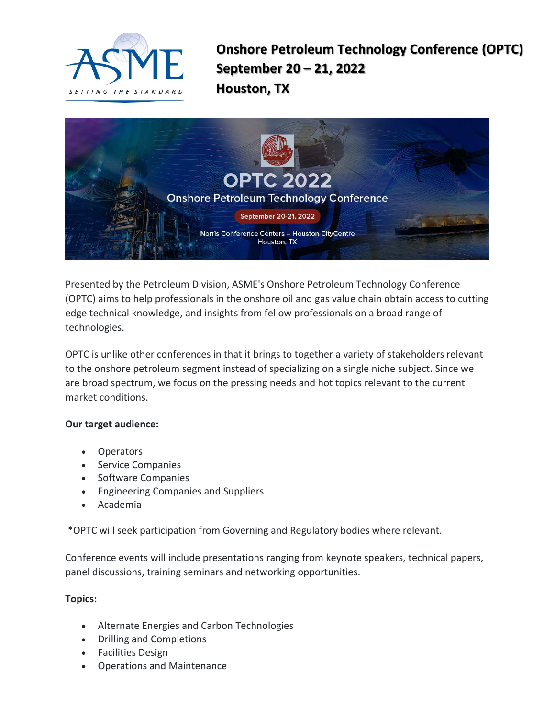

**Onshore Petroleum Technology Conference (OPTC) September 20 – 21, 2022 Houston, TX**



Presented by the Petroleum Division, ASME's Onshore Petroleum Technology Conference (OPTC) aims to help professionals in the onshore oil and gas value chain obtain access to cutting edge technical knowledge, and insights from fellow professionals on a broad range of technologies.

OPTC is unlike other conferences in that it brings to together a variety of stakeholders relevant to the onshore petroleum segment instead of specializing on a single niche subject. Since we are broad spectrum, we focus on the pressing needs and hot topics relevant to the current market conditions.

### **Our target audience:**

- Operators
- Service Companies
- Software Companies
- Engineering Companies and Suppliers
- Academia

\*OPTC will seek participation from Governing and Regulatory bodies where relevant.

Conference events will include presentations ranging from keynote speakers, technical papers, panel discussions, training seminars and networking opportunities.

### **Topics:**

- Alternate Energies and Carbon Technologies
- Drilling and Completions
- Facilities Design
- Operations and Maintenance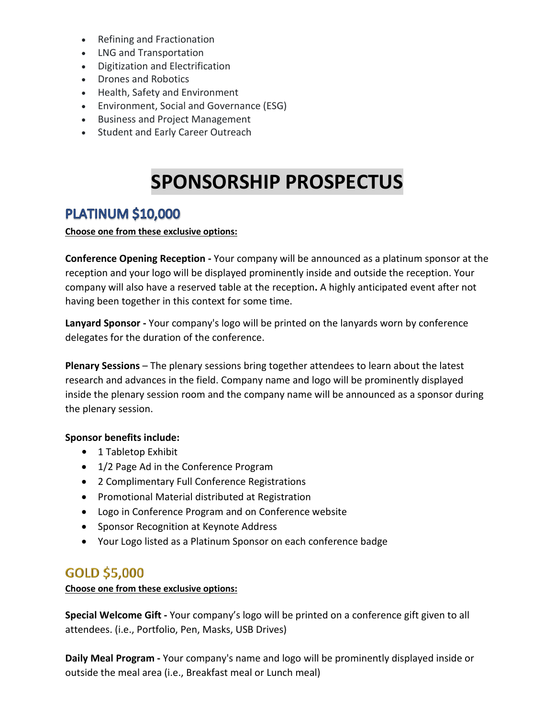- Refining and Fractionation
- LNG and Transportation
- Digitization and Electrification
- Drones and Robotics
- Health, Safety and Environment
- Environment, Social and Governance (ESG)
- Business and Project Management
- Student and Early Career Outreach

# **SPONSORSHIP PROSPECTUS**

# **PLATINUM \$10,000**

### **Choose one from these exclusive options:**

**Conference Opening Reception -** Your company will be announced as a platinum sponsor at the reception and your logo will be displayed prominently inside and outside the reception. Your company will also have a reserved table at the reception**.** A highly anticipated event after not having been together in this context for some time.

**Lanyard Sponsor -** Your company's logo will be printed on the lanyards worn by conference delegates for the duration of the conference.

**Plenary Sessions** – The plenary sessions bring together attendees to learn about the latest research and advances in the field. Company name and logo will be prominently displayed inside the plenary session room and the company name will be announced as a sponsor during the plenary session.

### **Sponsor benefits include:**

- 1 Tabletop Exhibit
- 1/2 Page Ad in the Conference Program
- 2 Complimentary Full Conference Registrations
- Promotional Material distributed at Registration
- Logo in Conference Program and on Conference website
- Sponsor Recognition at Keynote Address
- Your Logo listed as a Platinum Sponsor on each conference badge

## GOLD \$5,000

### **Choose one from these exclusive options:**

**Special Welcome Gift -** Your company's logo will be printed on a conference gift given to all attendees. (i.e., Portfolio, Pen, Masks, USB Drives)

**Daily Meal Program -** Your company's name and logo will be prominently displayed inside or outside the meal area (i.e., Breakfast meal or Lunch meal)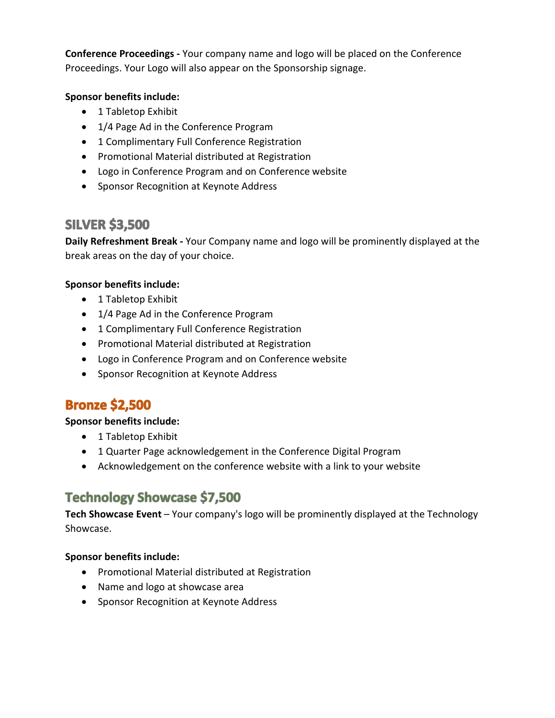**Conference Proceedings -** Your company name and logo will be placed on the Conference Proceedings. Your Logo will also appear on the Sponsorship signage.

## **Sponsor benefits include:**

- 1 Tabletop Exhibit
- 1/4 Page Ad in the Conference Program
- 1 Complimentary Full Conference Registration
- Promotional Material distributed at Registration
- Logo in Conference Program and on Conference website
- Sponsor Recognition at Keynote Address

## **SILVER \$3,500**

**Daily Refreshment Break -** Your Company name and logo will be prominently displayed at the break areas on the day of your choice.

### **Sponsor benefits include:**

- 1 Tabletop Exhibit
- 1/4 Page Ad in the Conference Program
- 1 Complimentary Full Conference Registration
- Promotional Material distributed at Registration
- Logo in Conference Program and on Conference website
- Sponsor Recognition at Keynote Address

## **Bronze \$2,500**

### **Sponsor benefits include:**

- 1 Tabletop Exhibit
- 1 Quarter Page acknowledgement in the Conference Digital Program
- Acknowledgement on the conference website with a link to your website

# **Technology Showcase \$7,500**

**Tech Showcase Event** – Your company's logo will be prominently displayed at the Technology Showcase.

### **Sponsor benefits include:**

- Promotional Material distributed at Registration
- Name and logo at showcase area
- Sponsor Recognition at Keynote Address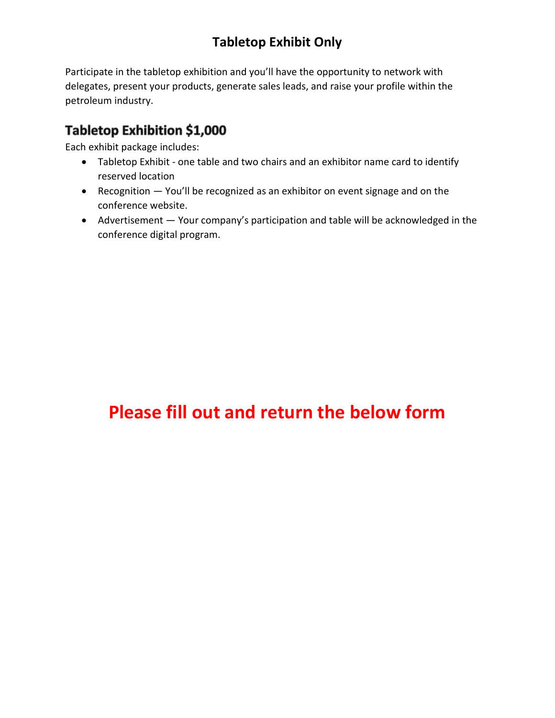# **Tabletop Exhibit Only**

Participate in the tabletop exhibition and you'll have the opportunity to network with delegates, present your products, generate sales leads, and raise your profile within the petroleum industry.

# Tabletop Exhibition \$1,000

Each exhibit package includes:

- Tabletop Exhibit one table and two chairs and an exhibitor name card to identify reserved location
- Recognition You'll be recognized as an exhibitor on event signage and on the conference website.
- Advertisement Your company's participation and table will be acknowledged in the conference digital program.

# **Please fill out and return the below form**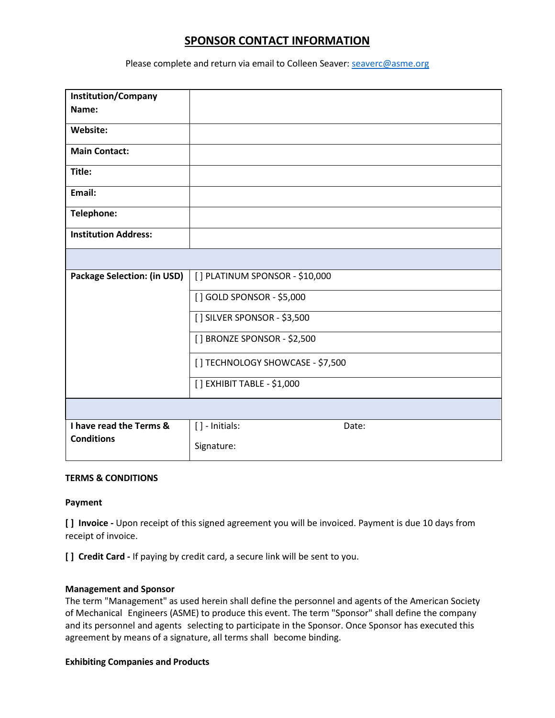## **SPONSOR CONTACT INFORMATION**

Please complete and return via email to Colleen Seaver: [seaverc@asme.org](mailto:seaverc@asme.org)

| <b>Institution/Company</b>         |                                  |
|------------------------------------|----------------------------------|
| Name:                              |                                  |
| Website:                           |                                  |
| <b>Main Contact:</b>               |                                  |
| Title:                             |                                  |
| Email:                             |                                  |
| Telephone:                         |                                  |
| <b>Institution Address:</b>        |                                  |
|                                    |                                  |
| <b>Package Selection: (in USD)</b> | [] PLATINUM SPONSOR - \$10,000   |
|                                    | [] GOLD SPONSOR - \$5,000        |
|                                    | [] SILVER SPONSOR - \$3,500      |
|                                    | [] BRONZE SPONSOR - \$2,500      |
|                                    | [] TECHNOLOGY SHOWCASE - \$7,500 |
|                                    | [] EXHIBIT TABLE - \$1,000       |
|                                    |                                  |
| I have read the Terms &            | [] - Initials:<br>Date:          |
| <b>Conditions</b>                  | Signature:                       |

### **TERMS & CONDITIONS**

### **Payment**

**[ ] Invoice -** Upon receipt of this signed agreement you will be invoiced. Payment is due 10 days from receipt of invoice.

**[ ] Credit Card -** If paying by credit card, a secure link will be sent to you.

### **Management and Sponsor**

The term "Management" as used herein shall define the personnel and agents of the American Society of Mechanical Engineers (ASME) to produce this event. The term "Sponsor" shall define the company and its personnel and agents selecting to participate in the Sponsor. Once Sponsor has executed this agreement by means of a signature, all terms shall become binding.

### **Exhibiting Companies and Products**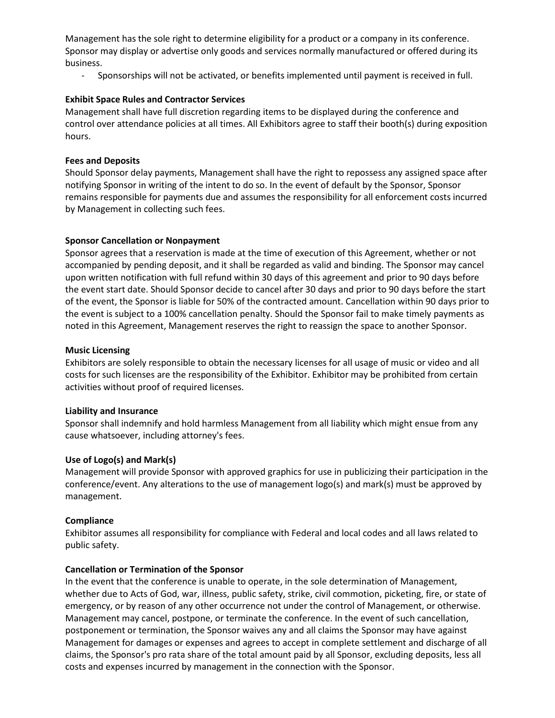Management has the sole right to determine eligibility for a product or a company in its conference. Sponsor may display or advertise only goods and services normally manufactured or offered during its business.

- Sponsorships will not be activated, or benefits implemented until payment is received in full.

### **Exhibit Space Rules and Contractor Services**

Management shall have full discretion regarding items to be displayed during the conference and control over attendance policies at all times. All Exhibitors agree to staff their booth(s) during exposition hours.

### **Fees and Deposits**

Should Sponsor delay payments, Management shall have the right to repossess any assigned space after notifying Sponsor in writing of the intent to do so. In the event of default by the Sponsor, Sponsor remains responsible for payments due and assumes the responsibility for all enforcement costs incurred by Management in collecting such fees.

### **Sponsor Cancellation or Nonpayment**

Sponsor agrees that a reservation is made at the time of execution of this Agreement, whether or not accompanied by pending deposit, and it shall be regarded as valid and binding. The Sponsor may cancel upon written notification with full refund within 30 days of this agreement and prior to 90 days before the event start date. Should Sponsor decide to cancel after 30 days and prior to 90 days before the start of the event, the Sponsor is liable for 50% of the contracted amount. Cancellation within 90 days prior to the event is subject to a 100% cancellation penalty. Should the Sponsor fail to make timely payments as noted in this Agreement, Management reserves the right to reassign the space to another Sponsor.

### **Music Licensing**

Exhibitors are solely responsible to obtain the necessary licenses for all usage of music or video and all costs for such licenses are the responsibility of the Exhibitor. Exhibitor may be prohibited from certain activities without proof of required licenses.

### **Liability and Insurance**

Sponsor shall indemnify and hold harmless Management from all liability which might ensue from any cause whatsoever, including attorney's fees.

### **Use of Logo(s) and Mark(s)**

Management will provide Sponsor with approved graphics for use in publicizing their participation in the conference/event. Any alterations to the use of management logo(s) and mark(s) must be approved by management.

### **Compliance**

Exhibitor assumes all responsibility for compliance with Federal and local codes and all laws related to public safety.

### **Cancellation or Termination of the Sponsor**

In the event that the conference is unable to operate, in the sole determination of Management, whether due to Acts of God, war, illness, public safety, strike, civil commotion, picketing, fire, or state of emergency, or by reason of any other occurrence not under the control of Management, or otherwise. Management may cancel, postpone, or terminate the conference. In the event of such cancellation, postponement or termination, the Sponsor waives any and all claims the Sponsor may have against Management for damages or expenses and agrees to accept in complete settlement and discharge of all claims, the Sponsor's pro rata share of the total amount paid by all Sponsor, excluding deposits, less all costs and expenses incurred by management in the connection with the Sponsor.